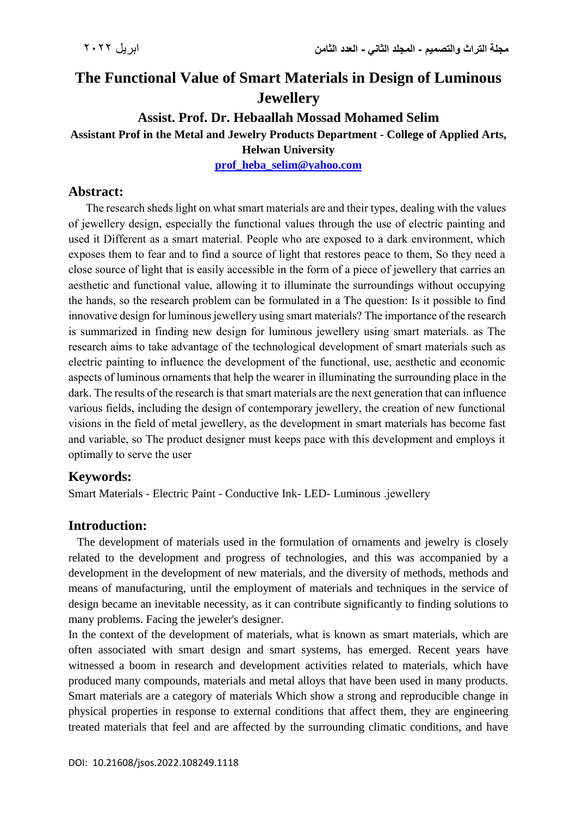# **The Functional Value of Smart Materials in Design of Luminous Jewellery**

# **Assist. Prof. Dr. Hebaallah Mossad Mohamed Selim Assistant Prof in the Metal and Jewelry Products Department - College of Applied Arts, Helwan University**

**[prof\\_heba\\_selim@yahoo.com](mailto:prof_heba_selim@yahoo.com)**

# **Abstract:**

The research sheds light on what smart materials are and their types, dealing with the values of jewellery design, especially the functional values through the use of electric painting and used it Different as a smart material. People who are exposed to a dark environment, which exposes them to fear and to find a source of light that restores peace to them, So they need a close source of light that is easily accessible in the form of a piece of jewellery that carries an aesthetic and functional value, allowing it to illuminate the surroundings without occupying the hands, so the research problem can be formulated in a The question: Is it possible to find innovative design for luminous jewellery using smart materials? The importance of the research is summarized in finding new design for luminous jewellery using smart materials. as The research aims to take advantage of the technological development of smart materials such as electric painting to influence the development of the functional, use, aesthetic and economic aspects of luminous ornaments that help the wearer in illuminating the surrounding place in the dark. The results of the research is that smart materials are the next generation that can influence various fields, including the design of contemporary jewellery, the creation of new functional visions in the field of metal jewellery, as the development in smart materials has become fast and variable, so The product designer must keeps pace with this development and employs it optimally to serve the user

# **Keywords:**

Smart Materials - Electric Paint - Conductive Ink- LED- Luminous .jewellery

# **Introduction:**

 The development of materials used in the formulation of ornaments and jewelry is closely related to the development and progress of technologies, and this was accompanied by a development in the development of new materials, and the diversity of methods, methods and means of manufacturing, until the employment of materials and techniques in the service of design became an inevitable necessity, as it can contribute significantly to finding solutions to many problems. Facing the jeweler's designer.

In the context of the development of materials, what is known as smart materials, which are often associated with smart design and smart systems, has emerged. Recent years have witnessed a boom in research and development activities related to materials, which have produced many compounds, materials and metal alloys that have been used in many products. Smart materials are a category of materials Which show a strong and reproducible change in physical properties in response to external conditions that affect them, they are engineering treated materials that feel and are affected by the surrounding climatic conditions, and have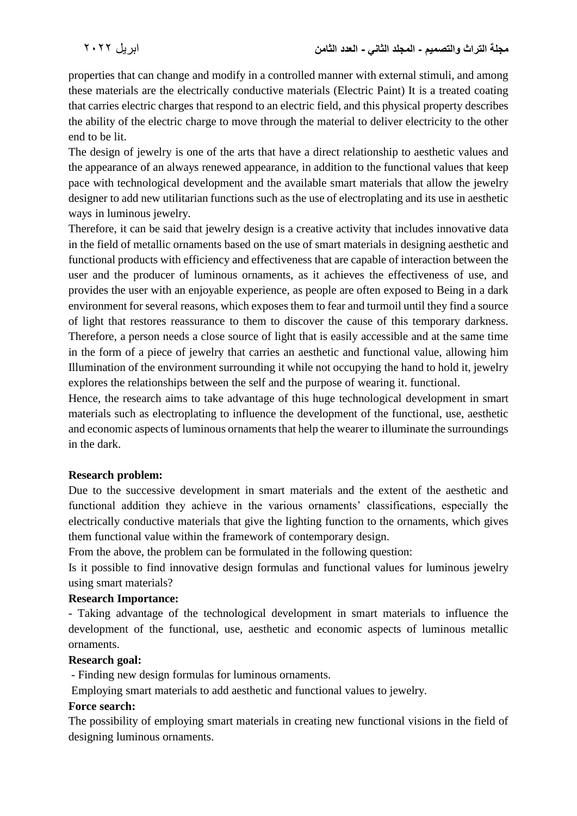properties that can change and modify in a controlled manner with external stimuli, and among these materials are the electrically conductive materials (Electric Paint) It is a treated coating that carries electric charges that respond to an electric field, and this physical property describes the ability of the electric charge to move through the material to deliver electricity to the other end to be lit.

The design of jewelry is one of the arts that have a direct relationship to aesthetic values and the appearance of an always renewed appearance, in addition to the functional values that keep pace with technological development and the available smart materials that allow the jewelry designer to add new utilitarian functions such as the use of electroplating and its use in aesthetic ways in luminous jewelry.

Therefore, it can be said that jewelry design is a creative activity that includes innovative data in the field of metallic ornaments based on the use of smart materials in designing aesthetic and functional products with efficiency and effectiveness that are capable of interaction between the user and the producer of luminous ornaments, as it achieves the effectiveness of use, and provides the user with an enjoyable experience, as people are often exposed to Being in a dark environment for several reasons, which exposes them to fear and turmoil until they find a source of light that restores reassurance to them to discover the cause of this temporary darkness. Therefore, a person needs a close source of light that is easily accessible and at the same time in the form of a piece of jewelry that carries an aesthetic and functional value, allowing him Illumination of the environment surrounding it while not occupying the hand to hold it, jewelry explores the relationships between the self and the purpose of wearing it. functional.

Hence, the research aims to take advantage of this huge technological development in smart materials such as electroplating to influence the development of the functional, use, aesthetic and economic aspects of luminous ornaments that help the wearer to illuminate the surroundings in the dark.

#### **Research problem:**

Due to the successive development in smart materials and the extent of the aesthetic and functional addition they achieve in the various ornaments' classifications, especially the electrically conductive materials that give the lighting function to the ornaments, which gives them functional value within the framework of contemporary design.

From the above, the problem can be formulated in the following question:

Is it possible to find innovative design formulas and functional values for luminous jewelry using smart materials?

#### **Research Importance:**

- Taking advantage of the technological development in smart materials to influence the development of the functional, use, aesthetic and economic aspects of luminous metallic ornaments.

#### **Research goal:**

- Finding new design formulas for luminous ornaments.

Employing smart materials to add aesthetic and functional values to jewelry.

#### **Force search:**

The possibility of employing smart materials in creating new functional visions in the field of designing luminous ornaments.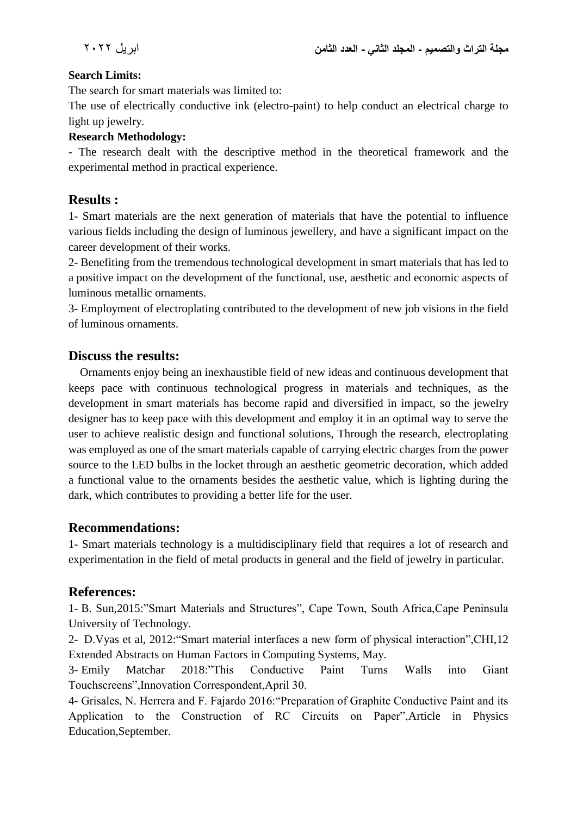### **Search Limits:**

The search for smart materials was limited to:

The use of electrically conductive ink (electro-paint) to help conduct an electrical charge to light up jewelry.

#### **Research Methodology:**

- The research dealt with the descriptive method in the theoretical framework and the experimental method in practical experience.

# **Results :**

1- Smart materials are the next generation of materials that have the potential to influence various fields including the design of luminous jewellery, and have a significant impact on the career development of their works.

2- Benefiting from the tremendous technological development in smart materials that has led to a positive impact on the development of the functional, use, aesthetic and economic aspects of luminous metallic ornaments.

3- Employment of electroplating contributed to the development of new job visions in the field of luminous ornaments.

# **Discuss the results:**

 Ornaments enjoy being an inexhaustible field of new ideas and continuous development that keeps pace with continuous technological progress in materials and techniques, as the development in smart materials has become rapid and diversified in impact, so the jewelry designer has to keep pace with this development and employ it in an optimal way to serve the user to achieve realistic design and functional solutions, Through the research, electroplating was employed as one of the smart materials capable of carrying electric charges from the power source to the LED bulbs in the locket through an aesthetic geometric decoration, which added a functional value to the ornaments besides the aesthetic value, which is lighting during the dark, which contributes to providing a better life for the user.

# **Recommendations:**

1- Smart materials technology is a multidisciplinary field that requires a lot of research and experimentation in the field of metal products in general and the field of jewelry in particular.

# **References:**

1- B. Sun,2015:"Smart Materials and Structures", Cape Town, South Africa,Cape Peninsula University of Technology.

2- D.Vyas et al, 2012:"Smart material interfaces a new form of physical interaction",CHI,12 Extended Abstracts on Human Factors in Computing Systems, May.

3- Emily [Matchar](https://www.smithsonianmag.com/author/emily-matchar/) 2018:"This Conductive Paint Turns Walls into Giant Touchscreens",Innovation Correspondent,April 30.

4- Grisales, N. Herrera and F. Fajardo 2016:"Preparation of Graphite Conductive Paint and its Application to the Construction of RC Circuits on Paper",Article in Physics Education,September.